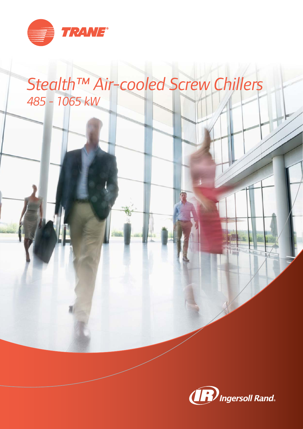

# *Stealth™ Air-cooled Screw Chillers 485 - 1065 kW*

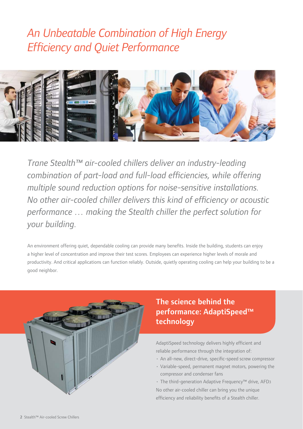# *An Unbeatable Combination of High Energy Effi ciency and Quiet Performance*



*Trane Stealth™ air-cooled chillers deliver an industry-leading combination of part-load and full-load efficiencies, while offering multiple sound reduction options for noise-sensitive installations. No other air-cooled chiller delivers this kind of efficiency or acoustic performance … making the Stealth chiller the perfect solution for your building.*

An environment offering quiet, dependable cooling can provide many benefits. Inside the building, students can enjoy a higher level of concentration and improve their test scores. Employees can experience higher levels of morale and productivity. And critical applications can function reliably. Outside, quietly operating cooling can help your building to be a good neighbor.



### The science behind the performance: AdaptiSpeed™ technology

AdaptiSpeed technology delivers highly efficient and reliable performance through the integration of:

- An all-new, direct-drive, specific-speed screw compressor
- Variable-speed, permanent magnet motors, powering the compressor and condenser fans
- The third-generation Adaptive Frequency™ drive, AFD3 No other air-cooled chiller can bring you the unique efficiency and reliability benefits of a Stealth chiller.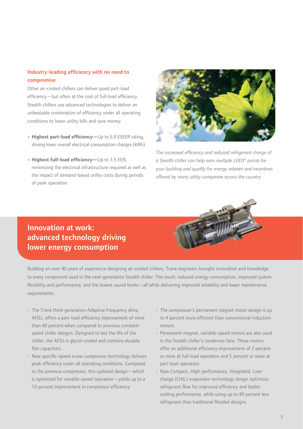#### Industry-leading efficiency with no need to compromise

Other air-cooled chillers can deliver good part-load efficiency—but often at the cost of full-load efficiency. Stealth chillers use advanced technologies to deliver an unbeatable combination of efficiency under all operating conditions to lower utility bills and save money.

- Highest part-load efficiency-Up to 5.0 ESEER rating, driving lower overall electrical consumption charges (kWh).
- Highest full-load efficiency-Up to 3.5 EER, minimizing the electrical infrastructure required as well as the impact of demand-based utility costs during periods of peak operation.



The increased efficiency and reduced refrigerant charge of *a Stealth chiller can help earn multiple LEED® points for your building and qualify for energy rebates and incentives offered by many utility companies across the country.*



### Innovation at work: advanced technology driving lower energy consumption

Building on over 40 years of experience designing air-cooled chillers, Trane engineers brought innovation and knowledge to every component used in the next-generation Stealth chiller. The result: reduced energy consumption, improved system flexibility and performance, and the lowest sound levels—all while delivering improved reliability and lower maintenance requirements.

- The Trane third-generation Adaptive Frequency drive, AFD3, offers a part-load efficiency improvement of more than 40 percent when compared to previous constantspeed chiller designs. Designed to last the life of the chiller, the AFD3 is glycol-cooled and contains durable film capacitors.
- New specific-speed screw compressor technology delivers peak efficiency under all operating conditions. Compared to the previous compressor, this updated design—which is optimized for variable-speed operation—yields up to a 10 percent improvement in compressor efficiency.
- The compressor's permanent magnet motor design is up to 4 percent more efficient than conventional induction motors.
- Permanent magnet, variable-speed motors are also used in the Stealth chiller's condenser fans. These motors offer an additional efficiency improvement of 2 percent or more at full-load operation and 5 percent or more at part-load operation.
- New Compact, High-performance, Integrated, Lowcharge (CHIL) evaporator technology design optimizes refrigerant flow for improved efficiency and better cooling performance, while using up to 40 percent less refrigerant than traditional flooded designs.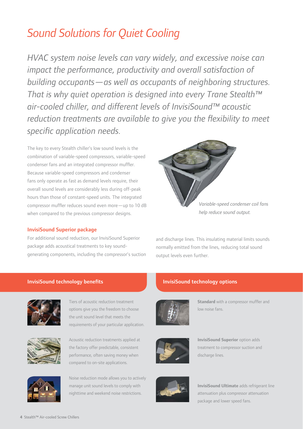# *Sound Solutions for Quiet Cooling*

*HVAC system noise levels can vary widely, and excessive noise can impact the performance, productivity and overall satisfaction of building occupants—as well as occupants of neighboring structures. That is why quiet operation is designed into every Trane Stealth™ air-cooled chiller, and different levels of InvisiSound™ acoustic reduction treatments are available to give you the flexibility to meet* specific application needs.

The key to every Stealth chiller's low sound levels is the combination of variable-speed compressors, variable-speed condenser fans and an integrated compressor muffler. Because variable-speed compressors and condenser fans only operate as fast as demand levels require, their overall sound levels are considerably less during off-peak hours than those of constant-speed units. The integrated compressor muffler reduces sound even more — up to 10 dB when compared to the previous compressor designs.

#### InvisiSound Superior package

For additional sound reduction, our InvisiSound Superior package adds acoustical treatments to key soundgenerating components, including the compressor's suction



*help reduce sound output.*

and discharge lines. This insulating material limits sounds normally emitted from the lines, reducing total sound output levels even further.

#### InvisiSound technology benefits



Tiers of acoustic reduction treatment options give you the freedom to choose the unit sound level that meets the requirements of your particular application.



Acoustic reduction treatments applied at the factory offer predictable, consistent performance, often saving money when compared to on-site applications.



Noise reduction mode allows you to actively manage unit sound levels to comply with nighttime and weekend noise restrictions.

### InvisiSound technology options



**Standard** with a compressor muffler and low noise fans.



**InvisiSound Superior** option adds treatment to compressor suction and discharge lines.



**InvisiSound Ultimate** adds refrigerant line attenuation plus compressor attenuation package and lower speed fans.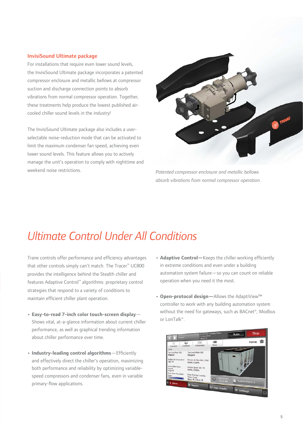#### InvisiSound Ultimate package

For installations that require even lower sound levels, the InvisiSound Ultimate package incorporates a patented compressor enclosure and metallic bellows at compressor suction and discharge connection points to absorb vibrations from normal compressor operation. Together, these treatments help produce the lowest published aircooled chiller sound levels in the industry!

The InvisiSound Ultimate package also includes a userselectable noise-reduction mode that can be activated to limit the maximum condenser fan speed, achieving even lower sound levels. This feature allows you to actively manage the unit's operation to comply with nighttime and weekend noise restrictions.



*Patented compressor enclosure and metallic bellows absorb vibrations from normal compressor operation.*

# *Ultimate Control Under All Conditions*

Trane controls offer performance and efficiency advantages that other controls simply can't match. The Tracer™ UC800 provides the intelligence behind the Stealth chiller and features Adaptive Control™ algorithms: proprietary control strategies that respond to a variety of conditions to maintain efficient chiller plant operation.

- **Easy-to-read 7-inch color touch-screen display** Shows vital, at-a-glance information about current chiller performance, as well as graphical trending information about chiller performance over time.
- Industry-leading control algorithms-Efficiently and effectively direct the chiller's operation, maximizing both performance and reliability by optimizing variablespeed compressors and condenser fans, even in variable primary-flow applications.
- **Adaptive Control**—Keeps the chiller working efficiently in extreme conditions and even under a building automation system failure—so you can count on reliable operation when you need it the most.
- **Open-protocol design—**Allows the AdaptiView™ controller to work with any building automation system without the need for gateways, such as BACnet®, Modbus or LonTalk®.

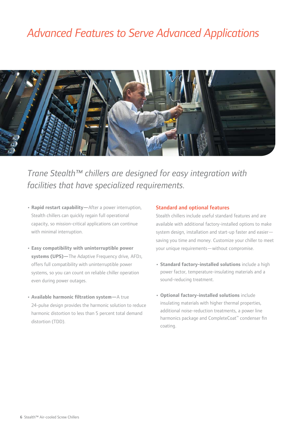# *Advanced Features to Serve Advanced Applications*



*Trane Stealth™ chillers are designed for easy integration with facilities that have specialized requirements.*

- **Rapid restart capability—**After a power interruption, Stealth chillers can quickly regain full operational capacity, so mission-critical applications can continue with minimal interruption.
- **Easy compatibility with uninterruptible power systems (UPS)—**The Adaptive Frequency drive, AFD3, offers full compatibility with uninterruptible power systems, so you can count on reliable chiller operation even during power outages.
- **Available harmonic filtration system-**A true 24-pulse design provides the harmonic solution to reduce harmonic distortion to less than 5 percent total demand distortion (TDD).

#### Standard and optional features

Stealth chillers include useful standard features and are available with additional factory-installed options to make system design, installation and start-up faster and easier saving you time and money. Customize your chiller to meet your unique requirements—without compromise.

- **Standard factory-installed solutions** include a high power factor, temperature-insulating materials and a sound-reducing treatment.
- **Optional factory-installed solutions** include insulating materials with higher thermal properties, additional noise-reduction treatments, a power line harmonics package and CompleteCoat™ condenser fin coating.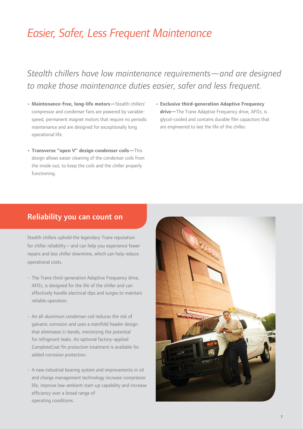# *Easier, Safer, Less Frequent Maintenance*

## *Stealth chillers have low maintenance requirements—and are designed to make those maintenance duties easier, safer and less frequent.*

- **Maintenance-free, long-life motors—**Stealth chillers' compressor and condenser fans are powered by variablespeed, permanent magnet motors that require no periodic maintenance and are designed for exceptionally long operational life.
- **Transverse "open V" design condenser coils—**This design allows easier cleaning of the condenser coils from the inside out, to keep the coils and the chiller properly functioning.
- **Exclusive third-generation Adaptive Frequency drive—**The Trane Adaptive Frequency drive, AFD3, is glycol-cooled and contains durable film capacitors that are engineered to last the life of the chiller.

### Reliability you can count on

Stealth chillers uphold the legendary Trane reputation for chiller reliability—and can help you experience fewer repairs and less chiller downtime, which can help reduce operational costs.

- The Trane third-generation Adaptive Frequency drive, AFD3, is designed for the life of the chiller and can effectively handle electrical dips and surges to maintain reliable operation.
- An all-aluminum condenser coil reduces the risk of galvanic corrosion and uses a manifold header design that eliminates U-bends, minimizing the potential for refrigerant leaks. An optional factory-applied CompleteCoat fin protection treatment is available for added corrosion protection.
- A new industrial bearing system and improvements in oil and charge management technology increase compressor life, improve low-ambient start-up capability and increase efficiency over a broad range of operating conditions.